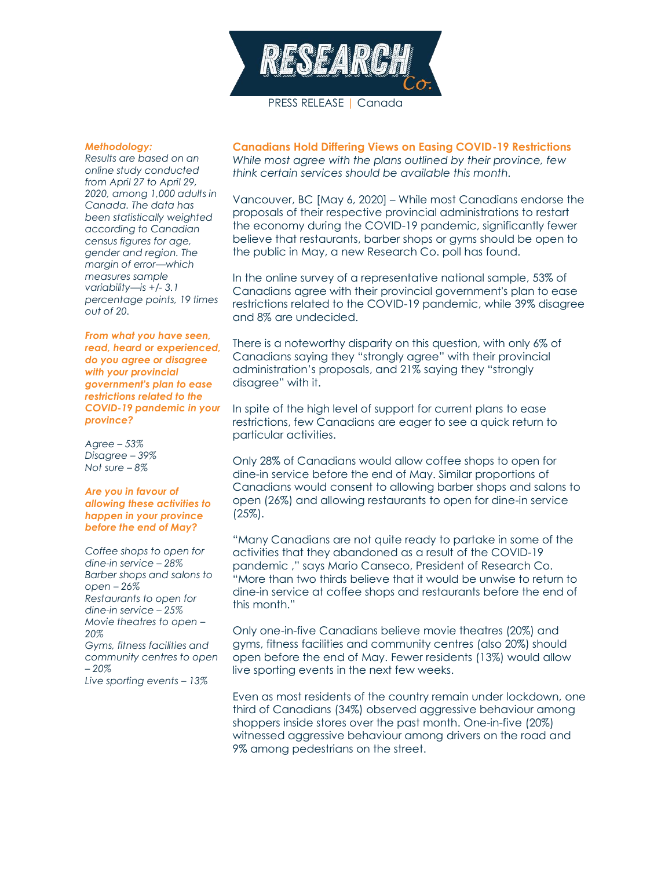

PRESS RELEASE | Canada

## *Methodology:*

*Results are based on an online study conducted from April 27 to April 29, 2020, among 1,000 adults in Canada. The data has been statistically weighted according to Canadian census figures for age, gender and region. The margin of error—which measures sample variability—is +/- 3.1 percentage points, 19 times out of 20.*

*From what you have seen, read, heard or experienced, do you agree or disagree with your provincial government's plan to ease restrictions related to the COVID-19 pandemic in your province?*

*Agree – 53% Disagree – 39% Not sure – 8%*

## *Are you in favour of allowing these activities to happen in your province before the end of May?*

*Coffee shops to open for dine-in service – 28% Barber shops and salons to open – 26% Restaurants to open for dine-in service – 25% Movie theatres to open – 20% Gyms, fitness facilities and community centres to open – 20%*

*Live sporting events – 13%*

**Canadians Hold Differing Views on Easing COVID-19 Restrictions** *While most agree with the plans outlined by their province, few think certain services should be available this month.*

Vancouver, BC [May 6, 2020] – While most Canadians endorse the proposals of their respective provincial administrations to restart the economy during the COVID-19 pandemic, significantly fewer believe that restaurants, barber shops or gyms should be open to the public in May, a new Research Co. poll has found.

In the online survey of a representative national sample, 53% of Canadians agree with their provincial government's plan to ease restrictions related to the COVID-19 pandemic, while 39% disagree and 8% are undecided.

There is a noteworthy disparity on this question, with only 6% of Canadians saying they "strongly agree" with their provincial administration's proposals, and 21% saying they "strongly disagree" with it.

In spite of the high level of support for current plans to ease restrictions, few Canadians are eager to see a quick return to particular activities.

Only 28% of Canadians would allow coffee shops to open for dine-in service before the end of May. Similar proportions of Canadians would consent to allowing barber shops and salons to open (26%) and allowing restaurants to open for dine-in service (25%).

"Many Canadians are not quite ready to partake in some of the activities that they abandoned as a result of the COVID-19 pandemic ," says Mario Canseco, President of Research Co. "More than two thirds believe that it would be unwise to return to dine-in service at coffee shops and restaurants before the end of this month."

Only one-in-five Canadians believe movie theatres (20%) and gyms, fitness facilities and community centres (also 20%) should open before the end of May. Fewer residents (13%) would allow live sporting events in the next few weeks.

Even as most residents of the country remain under lockdown, one third of Canadians (34%) observed aggressive behaviour among shoppers inside stores over the past month. One-in-five (20%) witnessed aggressive behaviour among drivers on the road and 9% among pedestrians on the street.